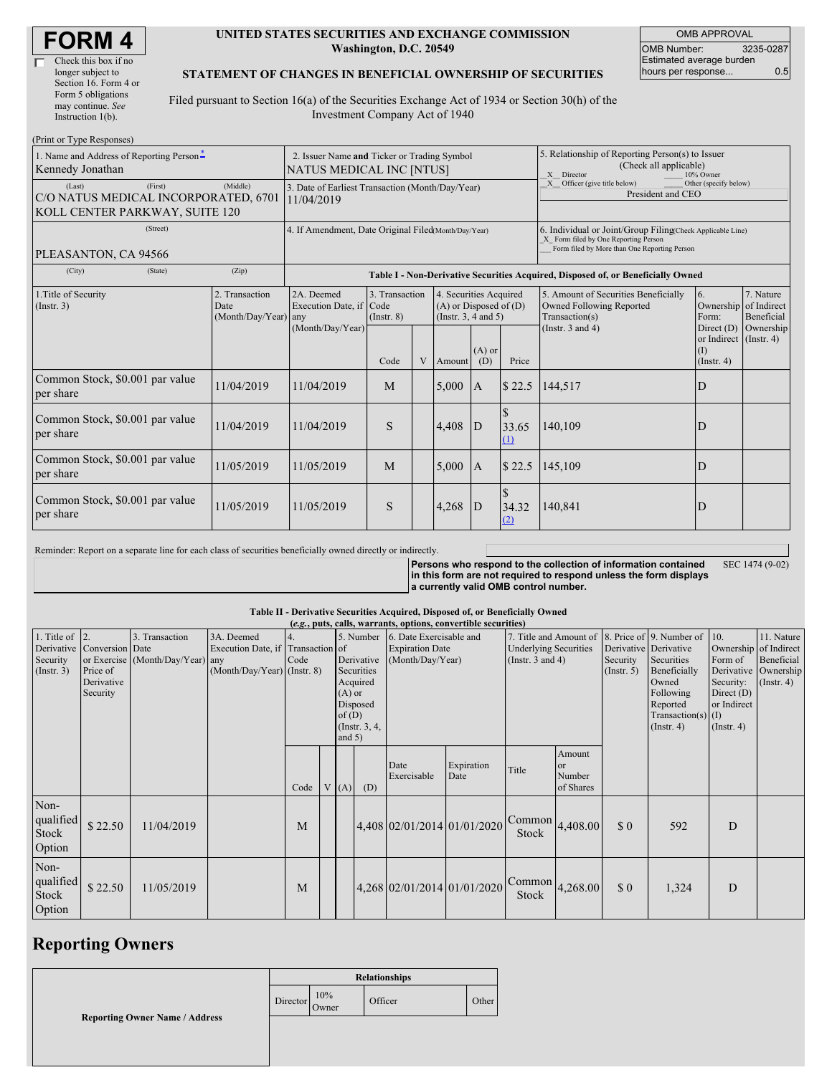| <b>FORM4</b> |
|--------------|
|--------------|

#### **UNITED STATES SECURITIES AND EXCHANGE COMMISSION Washington, D.C. 20549**

OMB APPROVAL OMB Number: 3235-0287 Estimated average burden hours per response... 0.5

### **STATEMENT OF CHANGES IN BENEFICIAL OWNERSHIP OF SECURITIES**

Filed pursuant to Section 16(a) of the Securities Exchange Act of 1934 or Section 30(h) of the Investment Company Act of 1940

| (Print or Type Responses)                                                                   |                                                                                |                                                                |                                                                                  |   |                                                                                  |                 |                                                                                                       |                                                                                                                                                    |                                                                          |                         |  |
|---------------------------------------------------------------------------------------------|--------------------------------------------------------------------------------|----------------------------------------------------------------|----------------------------------------------------------------------------------|---|----------------------------------------------------------------------------------|-----------------|-------------------------------------------------------------------------------------------------------|----------------------------------------------------------------------------------------------------------------------------------------------------|--------------------------------------------------------------------------|-------------------------|--|
| 1. Name and Address of Reporting Person-<br>Kennedy Jonathan                                | 2. Issuer Name and Ticker or Trading Symbol<br><b>NATUS MEDICAL INC [NTUS]</b> |                                                                |                                                                                  |   |                                                                                  |                 | 5. Relationship of Reporting Person(s) to Issuer<br>(Check all applicable)<br>X Director<br>10% Owner |                                                                                                                                                    |                                                                          |                         |  |
| (First)<br>(Last)<br>C/O NATUS MEDICAL INCORPORATED, 6701<br>KOLL CENTER PARKWAY, SUITE 120 | (Middle)                                                                       | 3. Date of Earliest Transaction (Month/Day/Year)<br>11/04/2019 |                                                                                  |   |                                                                                  |                 |                                                                                                       | X Officer (give title below)<br>Other (specify below)<br>President and CEO                                                                         |                                                                          |                         |  |
| (Street)<br>PLEASANTON, CA 94566                                                            |                                                                                | 4. If Amendment, Date Original Filed(Month/Day/Year)           |                                                                                  |   |                                                                                  |                 |                                                                                                       | 6. Individual or Joint/Group Filing(Check Applicable Line)<br>X Form filed by One Reporting Person<br>Form filed by More than One Reporting Person |                                                                          |                         |  |
| (City)<br>(State)                                                                           | (Zip)                                                                          |                                                                | Table I - Non-Derivative Securities Acquired, Disposed of, or Beneficially Owned |   |                                                                                  |                 |                                                                                                       |                                                                                                                                                    |                                                                          |                         |  |
| 1. Title of Security<br>(Insert. 3)                                                         | 2. Transaction<br>Date<br>(Month/Day/Year)                                     | 2A. Deemed<br>Execution Date, if Code<br>any                   | 3. Transaction<br>$($ Instr. $8)$                                                |   | 4. Securities Acquired<br>$(A)$ or Disposed of $(D)$<br>(Instr. $3, 4$ and $5$ ) |                 |                                                                                                       | 5. Amount of Securities Beneficially<br>Owned Following Reported<br>Transaction(s)<br>(Instr. $3$ and $4$ )                                        | 6.<br>Ownership of Indirect<br>Form:                                     | 7. Nature<br>Beneficial |  |
|                                                                                             |                                                                                | (Month/Day/Year)                                               | Code                                                                             | V | Amount                                                                           | $(A)$ or<br>(D) | Price                                                                                                 |                                                                                                                                                    | Direct (D)<br>or Indirect (Instr. 4)<br>$(\text{I})$<br>$($ Instr. 4 $)$ | Ownership               |  |
| Common Stock, \$0.001 par value<br>per share                                                | 11/04/2019                                                                     | 11/04/2019                                                     | M                                                                                |   | 5,000                                                                            | A               | \$22.5                                                                                                | 144,517                                                                                                                                            | D                                                                        |                         |  |
| Common Stock, \$0.001 par value<br>per share                                                | 11/04/2019                                                                     | 11/04/2019                                                     | S                                                                                |   | 4,408                                                                            | D               | 33.65<br>(1)                                                                                          | 140,109                                                                                                                                            | D                                                                        |                         |  |
| Common Stock, \$0.001 par value<br>per share                                                | 11/05/2019                                                                     | 11/05/2019                                                     | M                                                                                |   | 5,000                                                                            | $\mathbf{A}$    | \$22.5                                                                                                | 145,109                                                                                                                                            | D                                                                        |                         |  |
| Common Stock, \$0.001 par value<br>per share                                                | 11/05/2019                                                                     | 11/05/2019                                                     | S                                                                                |   | 4,268                                                                            | D               | 34.32<br>(2)                                                                                          | 140,841                                                                                                                                            | D                                                                        |                         |  |

Reminder: Report on a separate line for each class of securities beneficially owned directly or indirectly.

**Persons who respond to the collection of information contained in this form are not required to respond unless the form displays a currently valid OMB control number.** SEC 1474 (9-02)

### **Table II - Derivative Securities Acquired, Disposed of, or Beneficially Owned**

|                                                   | (e.g., puts, calls, warrants, options, convertible securities)   |                                                    |                                                                                  |            |  |                               |                                                                                  |                                                                       |                             |                                                                                                         |                                                |                                                       |                                                                                                          |                                                                                                                          |                                              |
|---------------------------------------------------|------------------------------------------------------------------|----------------------------------------------------|----------------------------------------------------------------------------------|------------|--|-------------------------------|----------------------------------------------------------------------------------|-----------------------------------------------------------------------|-----------------------------|---------------------------------------------------------------------------------------------------------|------------------------------------------------|-------------------------------------------------------|----------------------------------------------------------------------------------------------------------|--------------------------------------------------------------------------------------------------------------------------|----------------------------------------------|
| 1. Title of $\vert$ 2.<br>Security<br>(Insert. 3) | Derivative Conversion Date<br>Price of<br>Derivative<br>Security | 3. Transaction<br>or Exercise (Month/Day/Year) any | 3A. Deemed<br>Execution Date, if Transaction of<br>$(Month/Day/Year)$ (Instr. 8) | 4.<br>Code |  | $(A)$ or<br>of(D)<br>and $5)$ | 5. Number<br>Derivative<br>Securities<br>Acquired<br>Disposed<br>(Instr. $3, 4,$ | 6. Date Exercisable and<br><b>Expiration Date</b><br>(Month/Day/Year) |                             | 7. Title and Amount of 8. Price of 9. Number of 10.<br><b>Underlying Securities</b><br>(Instr. 3 and 4) |                                                | Derivative Derivative<br>Security<br>$($ Instr. 5 $)$ | Securities<br>Beneficially<br>Owned<br>Following<br>Reported<br>Transaction(s) $(I)$<br>$($ Instr. 4 $)$ | Ownership of Indirect<br>Form of<br>Derivative Ownership<br>Security:<br>Direct $(D)$<br>or Indirect<br>$($ Instr. 4 $)$ | 11. Nature<br>Beneficial<br>$($ Instr. 4 $)$ |
|                                                   |                                                                  |                                                    |                                                                                  | Code       |  | V(A)                          | (D)                                                                              | Date<br>Exercisable                                                   | Expiration<br>Date          | Title                                                                                                   | Amount<br><sub>or</sub><br>Number<br>of Shares |                                                       |                                                                                                          |                                                                                                                          |                                              |
| Non-<br>qualified<br>Stock<br>Option              | \$22.50                                                          | 11/04/2019                                         |                                                                                  | M          |  |                               |                                                                                  |                                                                       | 4,408 02/01/2014 01/01/2020 | $\begin{bmatrix} \text{Common} \\ 4,408.00 \end{bmatrix}$<br>Stock                                      |                                                | \$0                                                   | 592                                                                                                      | D                                                                                                                        |                                              |
| Non-<br>qualified<br>Stock<br>Option              | \$22.50                                                          | 11/05/2019                                         |                                                                                  | M          |  |                               |                                                                                  |                                                                       | 4,268 02/01/2014 01/01/2020 | $\left  \text{Common} \right $ 4,268.00<br>Stock                                                        |                                                | \$0                                                   | 1,324                                                                                                    | D                                                                                                                        |                                              |

# **Reporting Owners**

|                                       | <b>Relationships</b> |              |         |       |  |  |
|---------------------------------------|----------------------|--------------|---------|-------|--|--|
|                                       | Director             | 10%<br>Owner | Officer | Other |  |  |
| <b>Reporting Owner Name / Address</b> |                      |              |         |       |  |  |